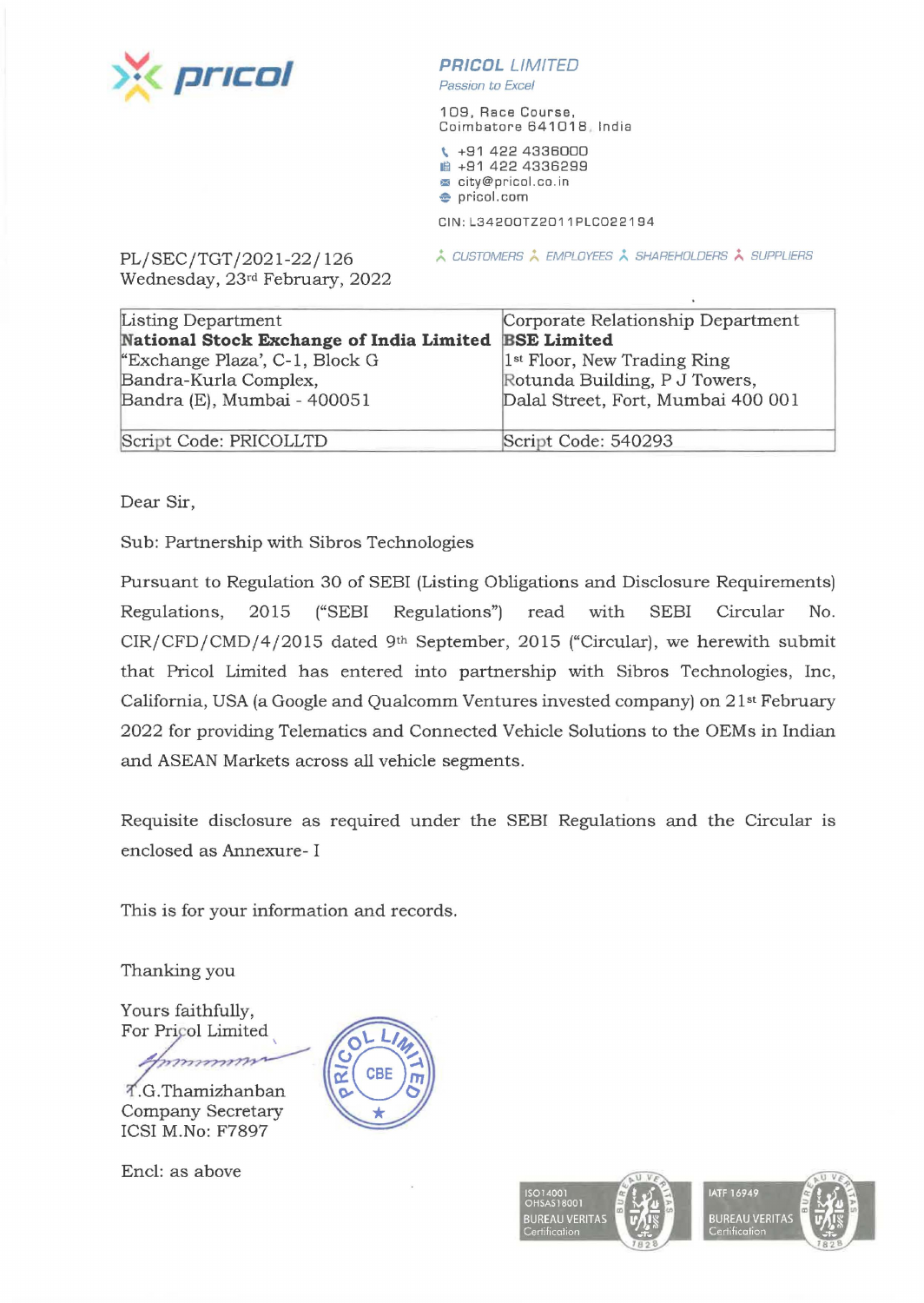

**PR/COL** LIMITED

Passion to Excel

109, Race Course, Coimbatore 641018 India

<sup>~</sup>+91 422 4336000 ■ +91 422 4336299 **m** city@pricol.co. in **e** pricol.com

CIN:L34200TZ2011PLC022194

<u>**¿ CUSTOMERS ; EMPLOYEES ; SHAREHOLDERS ; SUPPLIERS**</u>

PL/SEC/TGT /2021-22/ 126 Wednesday, 23rd February, 2022

| Listing Department                       | Corporate Relationship Department       |
|------------------------------------------|-----------------------------------------|
| National Stock Exchange of India Limited | <b>BSE Limited</b>                      |
| "Exchange Plaza', C-1, Block G           | 1 <sup>st</sup> Floor, New Trading Ring |
| Bandra-Kurla Complex,                    | Rotunda Building, P J Towers,           |
| Bandra (E), Mumbai - 400051              | Dalal Street, Fort, Mumbai 400 001      |
| Script Code: PRICOLLTD                   | Script Code: 540293                     |

Dear Sir,

Sub: Partnership with Sibros Technologies

Pursuant to Regulation 30 of SEBI (Listing Obligations and Disclosure Requirements) Regulations, 2015 ("SEBI Regulations") read with SEBI Circular No. CIR/CFD/CMD/4/2015 dated 9th September, 2015 ("Circular), we herewith submit that Pricol Limited has entered into partnership with Sibros Technologies, Inc, California, USA (a Google and Qualcomm Ventures invested company) on 21<sup>st</sup> February 2022 for providing Telematics and Connected Vehicle Solutions to the OEMs in Indian and ASEAN Markets across all vehicle segments.

Requisite disclosure as required under the SEBI Regulations and the Circular is enclosed as Annexure- I

This is for your information and records.

Thanking you

Yours faithfully, For Pricol Limited

mmmm

.G .Thamizhanban Company Secretary ICSI M.No: F7897

Encl: as above